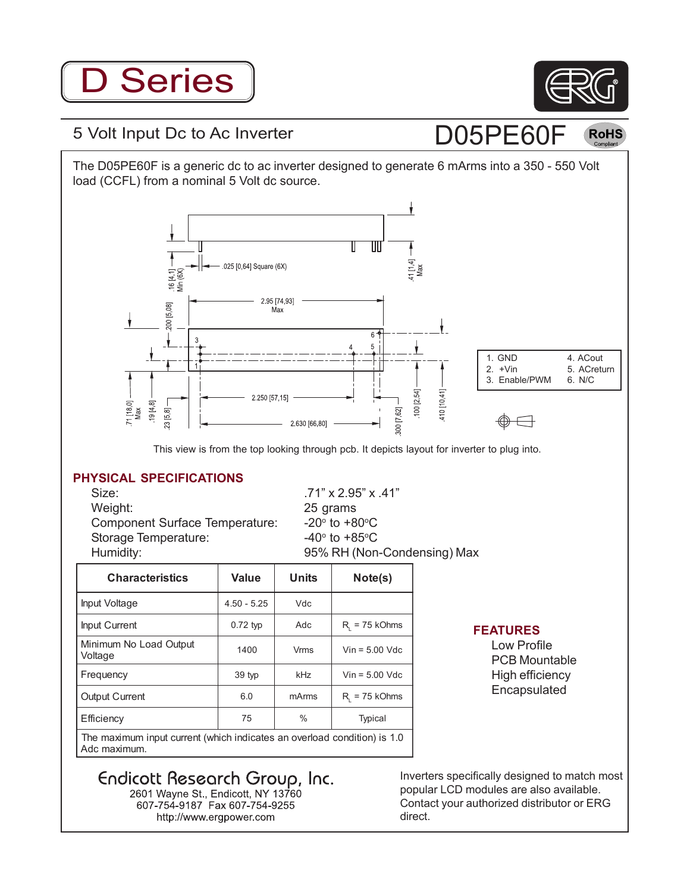# D Series



 $({\sf RoHS}$ 

D05PE60F

### 5 Volt Input Dc to Ac Inverter

The D05PE60F is a generic dc to ac inverter designed to generate 6 mArms into a 350 - 550 Volt load (CCFL) from a nominal 5 Volt dc source.



#### This view is from the top looking through pcb. It depicts layout for inverter to plug into.

#### **PHYSICAL SPECIFICATIONS**

Size: .71" x 2.95" x .41" Weight: 25 grams Component Surface Temperature: Storage Temperature: Humidity: 95% RH (Non-Condensing) Max

to  $+80^{\circ}$ C to  $+85^{\circ}$ C

| <b>Characteristics</b>                                                                   | Value         | Units         | Note(s)            |
|------------------------------------------------------------------------------------------|---------------|---------------|--------------------|
| Input Voltage                                                                            | $4.50 - 5.25$ | Vdc           |                    |
| <b>Input Current</b>                                                                     | $0.72$ typ    | Adc           | $R_{1}$ = 75 kOhms |
| Minimum No Load Output<br>Voltage                                                        | 1400          | <b>Vrms</b>   | $V$ in = 5.00 Vdc  |
| Frequency                                                                                | 39 typ        | kHz           | $V$ in = 5.00 Vdc  |
| <b>Output Current</b>                                                                    | 6.0           | mArms         | $R_{1}$ = 75 kOhms |
| Efficiency                                                                               | 75            | $\frac{0}{0}$ | Typical            |
| The maximum input current (which indicates an overload condition) is 1.0<br>Adc maximum. |               |               |                    |

#### **FEATURES**

Low Profile PCB Mountable High efficiency Encapsulated

Endicott Research Group, Inc.<br>2601 Wayne St., Endicott, NY 13760

607-754-9187 Fax 607-754-9255 http://www.ergpower.com

Inverters specifically designed to match most popular LCD modules are also available. Contact your authorized distributor or ERG direct.